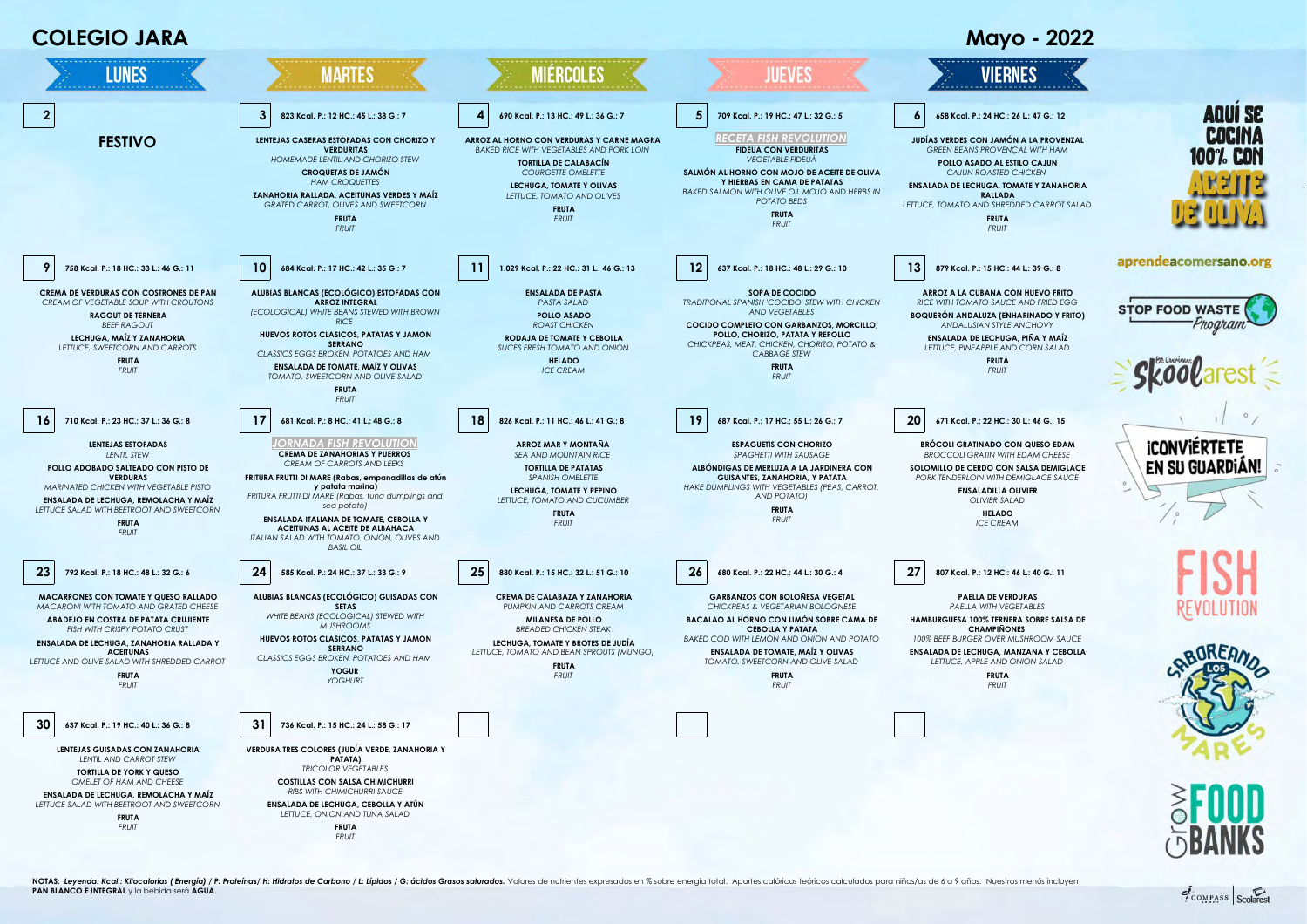

NOTAS: Levenda: Kcal: Kilocalorías ( Energía) / P: Proteínas/ H: Hidratos de Carbono / L: Lípidos / G: ácidos Grasos saturados. Valores de nutrientes expresados en % sobre energía total. Aportes calóricos teóricos calculad **PAN BLANCO E INTEGRAL** y la bebida será **AGUA.**

COMPASS Scolare